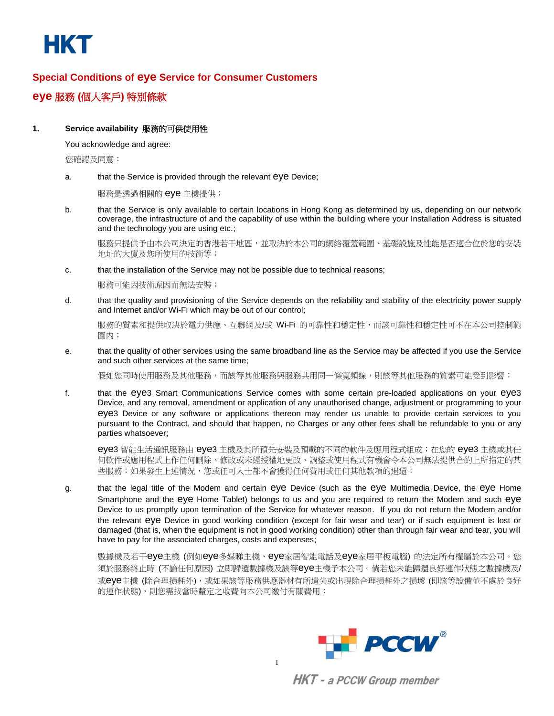

# **Special Conditions of eye Service for Consumer Customers**

**eye** 服務 **(**個人客戶**)** 特別條款

# **1. Service availability** 服務的可供使用性

You acknowledge and agree:

您確認及同意:

a. that the Service is provided through the relevant eye Device;

服務是透過相關的 eye 主機提供;

b. that the Service is only available to certain locations in Hong Kong as determined by us, depending on our network coverage, the infrastructure of and the capability of use within the building where your Installation Address is situated and the technology you are using etc.;

服務只提供予由本公司決定的香港若干地區,並取決於本公司的網絡覆蓋範圍、基礎設施及性能是否適合位於您的安裝 地址的大廈及您所使用的技術等;

c. that the installation of the Service may not be possible due to technical reasons;

服務可能因技術原因而無法安裝;

d. that the quality and provisioning of the Service depends on the reliability and stability of the electricity power supply and Internet and/or Wi-Fi which may be out of our control;

服務的質素和提供取決於電力供應、互聯網及/或 Wi-Fi 的可靠性和穩定性,而該可靠性和穩定性可不在本公司控制範 圍内;

e. that the quality of other services using the same broadband line as the Service may be affected if you use the Service and such other services at the same time;

假如您同時使用服務及其他服務,而該等其他服務與展務共用同一條寬頻線,則該等其他服務的質素可能受到影響;

f. that the eye3 Smart Communications Service comes with some certain pre-loaded applications on your eye3 Device, and any removal, amendment or application of any unauthorised change, adjustment or programming to your eye3 Device or any software or applications thereon may render us unable to provide certain services to you pursuant to the Contract, and should that happen, no Charges or any other fees shall be refundable to you or any parties whatsoever;

eye3 智能生活通訊服務由 eye3 主機及其所預先安裝及預載的不同的軟件及應用程式組成;在您的 eye3 主機或其任 何軟件或應用程式上作任何刪除、修改或未經授權地更改、調整或使用程式有機會令本公司無法提供合約上所指定的某 些服務;如果發生上述情況,您或任可人士都不會獲得任何費用或任何其他款項的退還;

g. that the legal title of the Modem and certain eye Device (such as the eye Multimedia Device, the eye Home Smartphone and the eye Home Tablet) belongs to us and you are required to return the Modem and such eye Device to us promptly upon termination of the Service for whatever reason. If you do not return the Modem and/or the relevant eye Device in good working condition (except for fair wear and tear) or if such equipment is lost or damaged (that is, when the equipment is not in good working condition) other than through fair wear and tear, you will have to pay for the associated charges, costs and expenses;

數據機及若干eye主機 (例如eye多媒睇主機、eye家居智能電話及eye家居平板電腦) 的法定所有權屬於本公司。您 須於服務終止時 (不論任何原因) 立即歸還數據機及該等eye主機予本公司。倘若您未能歸還良好運作狀態之數據機及/ 或eye主機 (除合理損耗外),或如果該等服務供應器材有所遺失或出現除合理損耗外之損壞 (即該等設備並不處於良好 的運作狀態),則您需按當時釐定之收費向本公司繳付有關費用;

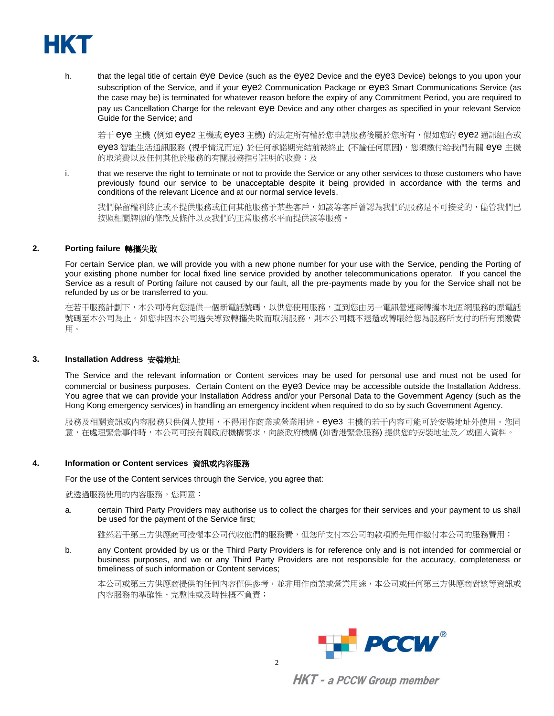

h. that the legal title of certain eye Device (such as the eye2 Device and the eye3 Device) belongs to you upon your subscription of the Service, and if your eye2 Communication Package or eye3 Smart Communications Service (as the case may be) is terminated for whatever reason before the expiry of any Commitment Period, you are required to pay us Cancellation Charge for the relevant eye Device and any other charges as specified in your relevant Service Guide for the Service; and

若干 eye 主機 (例如 eye2 主機或 eye3 主機) 的法定所有權於您申請服務後屬於您所有,假如您的 eye2 通訊組合或 eye3 智能生活通訊服務 (視乎情況而定) 於任何承諾期完結前被終止 (不論任何原因),您須繳付給我們有關 eye 主機 的取消費以及任何其他於服務的有關服務指引註明的收費;及

i. that we reserve the right to terminate or not to provide the Service or any other services to those customers who have previously found our service to be unacceptable despite it being provided in accordance with the terms and conditions of the relevant Licence and at our normal service levels.

我們保留權利終止或不提供服務或任何其他服務予某些客戶,如該等客戶曾認為我們的服務是不可接受的,儘管我們已 按照相關牌照的條款及條件以及我們的正常服務水平而提供該等服務。

#### **2. Porting failure** 轉攜失敗

For certain Service plan, we will provide you with a new phone number for your use with the Service, pending the Porting of your existing phone number for local fixed line service provided by another telecommunications operator. If you cancel the Service as a result of Porting failure not caused by our fault, all the pre-payments made by you for the Service shall not be refunded by us or be transferred to you.

在若干服務計劃下,本公司將向您提供一個新電話號碼,以供您使用服務,直到您由另一電訊營運商轉攜本地固網服務的原電話 號碼至本公司為止。如您非因本公司過失導致轉攜失敗而取消服務,則本公司概不退還或轉賬給您為服務所支付的所有預繳費 用。

#### **3. Installation Address** 安裝地址

The Service and the relevant information or Content services may be used for personal use and must not be used for commercial or business purposes. Certain Content on the eye3 Device may be accessible outside the Installation Address. You agree that we can provide your Installation Address and/or your Personal Data to the Government Agency (such as the Hong Kong emergency services) in handling an emergency incident when required to do so by such Government Agency.

服務及相關資訊或內容服務只供個人使用,不得用作商業或營業用途。eye3 主機的若干內容可能可於安裝地址外使用。您同 意,在處理緊急事件時,本公司可按有關政府機構要求,向該政府機構 (如香港緊急服務) 提供您的安裝地址及/或個人資料。

#### **4. Information or Content services** 資訊或內容服務

For the use of the Content services through the Service, you agree that:

#### 就透過服務使用的內容服務,您同意:

a. certain Third Party Providers may authorise us to collect the charges for their services and your payment to us shall be used for the payment of the Service first;

雖然若干第三方供應商可授權本公司代收他們的服務費,但您所支付本公司的款項將先用作繳付本公司的服務費用;

b. any Content provided by us or the Third Party Providers is for reference only and is not intended for commercial or business purposes, and we or any Third Party Providers are not responsible for the accuracy, completeness or timeliness of such information or Content services;

本公司或第三方供應商提供的任何內容僅供參考,並非用作商業或營業用途,本公司或任何第三方供應商對該等資訊或 內容服務的準確性、完整性或及時性概不負責;

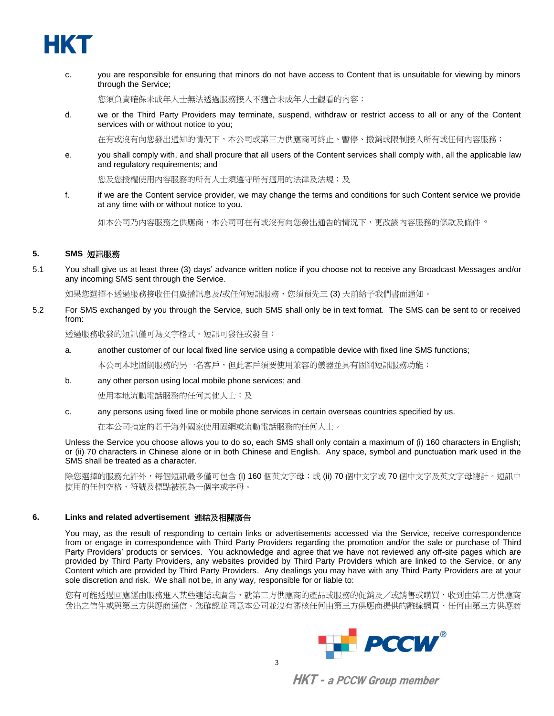

c. you are responsible for ensuring that minors do not have access to Content that is unsuitable for viewing by minors through the Service;

您須負責確保未成年人士無法透過服務接入不適合未成年人士觀看的內容;

d. we or the Third Party Providers may terminate, suspend, withdraw or restrict access to all or any of the Content services with or without notice to you;

在有或沒有向您發出通知的情況下,本公司或第三方供應商可終止、暫停、撤銷或限制接入所有或任何內容服務;

e. you shall comply with, and shall procure that all users of the Content services shall comply with, all the applicable law and regulatory requirements; and

您及您授權使用內容服務的所有人士須遵守所有適用的法律及法規;及

f. if we are the Content service provider, we may change the terms and conditions for such Content service we provide at any time with or without notice to you.

如本公司乃內容服務之供應商,本公司可在有或沒有向您發出通告的情況下,更改該內容服務的條款及條件。

# **5. SMS** 短訊服務

5.1 You shall give us at least three (3) days' advance written notice if you choose not to receive any Broadcast Messages and/or any incoming SMS sent through the Service.

如果您選擇不透過服務接收任何廣播訊息及/或任何短訊服務,您須預先三(3) 天前給予我們書面通知。

5.2 For SMS exchanged by you through the Service, such SMS shall only be in text format. The SMS can be sent to or received from:

透過服務收發的短訊僅可為文字格式。短訊可發往或發自:

a. another customer of our local fixed line service using a compatible device with fixed line SMS functions;

本公司本地固網服務的另一名客戶,但此客戶須要使用兼容的儀器並具有固網短訊服務功能;

b. any other person using local mobile phone services; and

使用本地流動電話服務的任何其他人士;及

c. any persons using fixed line or mobile phone services in certain overseas countries specified by us.

在本公司指定的若干海外國家使用固網或流動電話服務的任何人士。

Unless the Service you choose allows you to do so, each SMS shall only contain a maximum of (i) 160 characters in English; or (ii) 70 characters in Chinese alone or in both Chinese and English. Any space, symbol and punctuation mark used in the SMS shall be treated as a character.

除您選擇的服務允許外,每個短訊最多僅可包含 (i) 160 個英文字母;或 (ii) 70 個中文字或 70 個中文字及英文字母總計。短訊中 使用的任何空格、符號及標點被視為一個字或字母。

## **6. Links and related advertisement** 連結及相關廣告

You may, as the result of responding to certain links or advertisements accessed via the Service, receive correspondence from or engage in correspondence with Third Party Providers regarding the promotion and/or the sale or purchase of Third Party Providers' products or services. You acknowledge and agree that we have not reviewed any off-site pages which are provided by Third Party Providers, any websites provided by Third Party Providers which are linked to the Service, or any Content which are provided by Third Party Providers. Any dealings you may have with any Third Party Providers are at your sole discretion and risk. We shall not be, in any way, responsible for or liable to:

您有可能透過回應經由服務進入某些連結或廣告,就第三方供應商的產品或服務的促銷及/或銷售或購買,收到由第三方供應商 發出之信件或與第三方供應商通信。您確認並同意本公司並沒有審核任何由第三方供應商提供的離線網頁、任何由第三方供應商

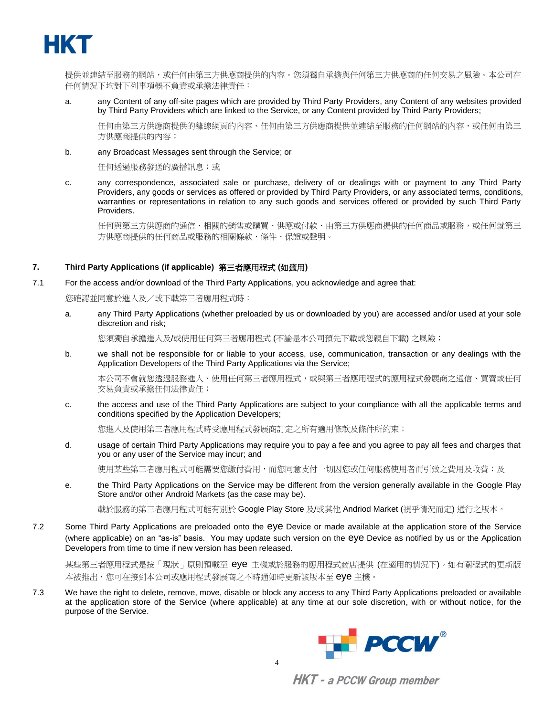

提供並連結至服務的網站,或任何由第三方供應商提供的內容。您須獨自承擔與任何第三方供應商的任何交易之風險。本公司在 任何情況下均對下列事項概不負責或承擔法律責任:

a. any Content of any off-site pages which are provided by Third Party Providers, any Content of any websites provided by Third Party Providers which are linked to the Service, or any Content provided by Third Party Providers;

任何由第三方供應商提供的離線網頁的內容、任何由第三方供應商提供並連結至服務的任何網站的內容,或任何由第三 方供應商提供的內容;

b. any Broadcast Messages sent through the Service; or

任何透過服務發送的廣播訊息;或

c. any correspondence, associated sale or purchase, delivery of or dealings with or payment to any Third Party Providers, any goods or services as offered or provided by Third Party Providers, or any associated terms, conditions, warranties or representations in relation to any such goods and services offered or provided by such Third Party Providers.

任何與第三方供應商的通信、相關的銷售或購買、供應或付款、由第三方供應商提供的任何商品或服務,或任何就第三 方供應商提供的任何商品或服務的相關條款、條件、保證或聲明。

## **7. Third Party Applications (if applicable)** 第三者應用程式 **(**如適用**)**

7.1 For the access and/or download of the Third Party Applications, you acknowledge and agree that:

您確認並同意於進入及/或下載第三者應用程式時:

a. any Third Party Applications (whether preloaded by us or downloaded by you) are accessed and/or used at your sole discretion and risk;

您須獨自承擔進入及/或使用任何第三者應用程式 (不論是本公司預先下載或您親自下載) 之風險;

b. we shall not be responsible for or liable to your access, use, communication, transaction or any dealings with the Application Developers of the Third Party Applications via the Service;

本公司不會就您透過服務進入、使用任何第三者應用程式,或與第三者應用程式的應用程式發展商之通信、買賣或任何 交易負責或承擔任何法律責任;

c. the access and use of the Third Party Applications are subject to your compliance with all the applicable terms and conditions specified by the Application Developers;

您進入及使用第三者應用程式時受應用程式發展商訂定之所有適用條款及條件所約束;

d. usage of certain Third Party Applications may require you to pay a fee and you agree to pay all fees and charges that you or any user of the Service may incur; and

使用某些第三者應用程式可能需要您繳付費用,而您同意支付一切因您或任何服務使用者而引致之費用及收費;及

e. the Third Party Applications on the Service may be different from the version generally available in the Google Play Store and/or other Android Markets (as the case may be).

載於服務的第三者應用程式可能有別於 Google Play Store 及/或其他 Andriod Market (視乎情況而定) 通行之版本。

7.2 Some Third Party Applications are preloaded onto the eye Device or made available at the application store of the Service (where applicable) on an "as-is" basis. You may update such version on the eye Device as notified by us or the Application Developers from time to time if new version has been released.

某些第三者應用程式是按「現狀」原則預載至 eye 主機或於服務的應用程式商店提供 (在適用的情況下)。如有關程式的更新版 本被推出,您可在接到本公司或應用程式發展商之不時通知時更新該版本至 eye 主機。

7.3 We have the right to delete, remove, move, disable or block any access to any Third Party Applications preloaded or available at the application store of the Service (where applicable) at any time at our sole discretion, with or without notice, for the purpose of the Service.

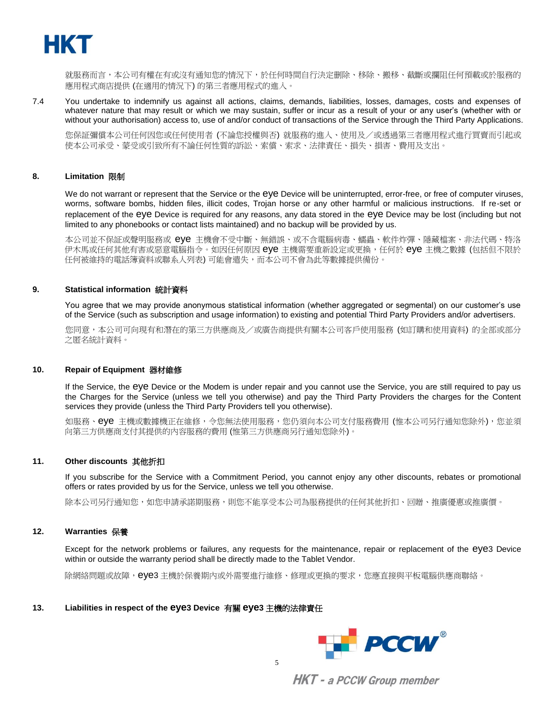

就服務而言,本公司有權在有或沒有通知您的情況下,於任何時間自行決定刪除、移除、搬移、截斷或攔阻任何預載或於服務的 應用程式商店提供 (在適用的情況下) 的第三者應用程式的進入。

7.4 You undertake to indemnify us against all actions, claims, demands, liabilities, losses, damages, costs and expenses of whatever nature that may result or which we may sustain, suffer or incur as a result of your or any user's (whether with or without your authorisation) access to, use of and/or conduct of transactions of the Service through the Third Party Applications.

您保証彌償本公司任何因您或任何使用者 (不論您授權與否) 就服務的進入、使用及/或透過第三者應用程式進行買賣而引起或 使本公司承受、蒙受或引致所有不論任何性質的訴訟、索償、索求、法律責任、損失、損害、費用及支出。

#### **8. Limitation** 限制

We do not warrant or represent that the Service or the eye Device will be uninterrupted, error-free, or free of computer viruses, worms, software bombs, hidden files, illicit codes, Trojan horse or any other harmful or malicious instructions. If re-set or replacement of the eye Device is required for any reasons, any data stored in the eye Device may be lost (including but not limited to any phonebooks or contact lists maintained) and no backup will be provided by us.

本公司並不保証或聲明服務或 eye 主機會不受中斷、無錯誤、或不含電腦病毒、蠕蟲、軟件炸彈、隱藏檔案、非法代碼、特洛 伊木馬或任何其他有害或惡意電腦指令。如因任何原因 eye 主機需要重新設定或更換,任何於 eye 主機之數據 (包括但不限於 任何被維持的電話簿資料或聯系人列表) 可能會遣失,而本公司不會為此等數據提供備份。

#### **9. Statistical information** 統計資料

You agree that we may provide anonymous statistical information (whether aggregated or segmental) on our customer's use of the Service (such as subscription and usage information) to existing and potential Third Party Providers and/or advertisers.

您同意,本公司可向現有和潛在的第三方供應商及/或廣告商提供有關本公司客戶使用服務 (如訂購和使用資料) 的全部或部分 之匿名統計資料。

#### **10. Repair of Equipment** 器材維修

If the Service, the eye Device or the Modem is under repair and you cannot use the Service, you are still required to pay us the Charges for the Service (unless we tell you otherwise) and pay the Third Party Providers the charges for the Content services they provide (unless the Third Party Providers tell you otherwise).

如服務、eye 主機或數據機正在維修,令您無法使用服務,您仍須向本公司支付服務費用 (惟本公司另行通知您除外),您並須 向第三方供應商支付其提供的內容服務的費用 (惟第三方供應商另行通知您除外)。

#### **11. Other discounts** 其他折扣

If you subscribe for the Service with a Commitment Period, you cannot enjoy any other discounts, rebates or promotional offers or rates provided by us for the Service, unless we tell you otherwise.

除本公司另行通知您,如您申請承諾期服務,則您不能享受本公司為服務提供的任何其他折扣、回贈、推廣優惠或推廣價。

#### **12. Warranties** 保養

Except for the network problems or failures, any requests for the maintenance, repair or replacement of the eye3 Device within or outside the warranty period shall be directly made to the Tablet Vendor.

除網絡問題或故障,eye3 主機於保養期內或外需要進行維修、修理或更換的要求,您應直接與平板電腦供應商聯絡。

#### **13. Liabilities in respect of the eye3 Device** 有關 **eye3** 主機的法律責任

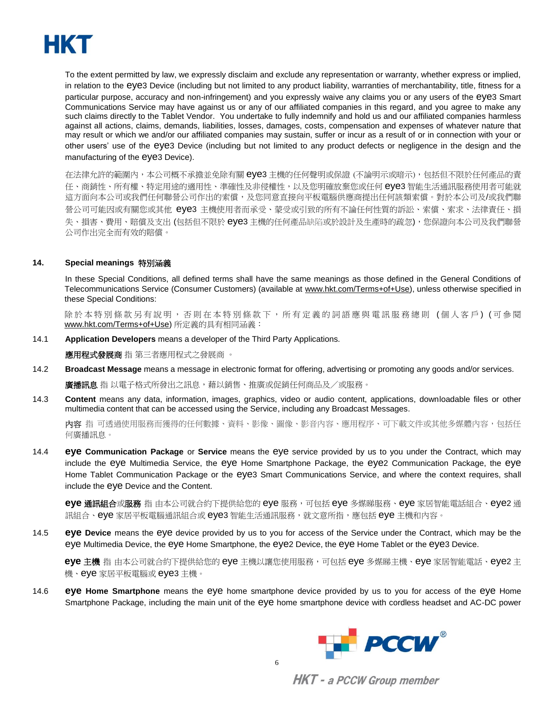

To the extent permitted by law, we expressly disclaim and exclude any representation or warranty, whether express or implied, in relation to the eye3 Device (including but not limited to any product liability, warranties of merchantability, title, fitness for a particular purpose, accuracy and non-infringement) and you expressly waive any claims you or any users of the eye3 Smart Communications Service may have against us or any of our affiliated companies in this regard, and you agree to make any such claims directly to the Tablet Vendor. You undertake to fully indemnify and hold us and our affiliated companies harmless against all actions, claims, demands, liabilities, losses, damages, costs, compensation and expenses of whatever nature that may result or which we and/or our affiliated companies may sustain, suffer or incur as a result of or in connection with your or other users' use of the eye3 Device (including but not limited to any product defects or negligence in the design and the manufacturing of the eye3 Device).

在法律允許的範圍內,本公司概不承擔並免除有關 eye3 主機的任何聲明或保證 (不論明示或暗示),包括但不限於任何產品的責 任、商銷性、所有權、特定用途的適用性、準確性及非侵權性,以及您明確放棄您或任何 eye3 智能生活通訊服務使用者可能就 這方面向本公司或我們任何聯營公司作出的索償,及您同意直接向平板電腦供應商提出任何該類索償。對於本公司及/或我們聯 營公司可能因或有關您或其他 eye3 主機使用者而承受、蒙受或引致的所有不論任何性質的訴訟、索償、索求、法律責任、損 失、損害、費用、賠償及支出 (包括但不限於 eye3 主機的任何產品缺陷或於設計及生產時的疏忽),您保證向本公司及我們聯營 公司作出完全而有效的賠償。

#### **14. Special meanings** 特別涵義

In these Special Conditions, all defined terms shall have the same meanings as those defined in the General Conditions of Telecommunications Service (Consumer Customers) (available at [www.hkt.com/Terms+of+Use\)](http://www.hkt.com/Terms+of+Use), unless otherwise specified in these Special Conditions:

除於本特別條款另有說明,否則在本特別條款下,所有定義的詞語應與電訊服務總則(個人客戶)(可參閱 [www.hkt.com/Terms+of+Use\)](http://www.hkt.com/Terms+of+Use) 所定義的具有相同涵義:

14.1 **Application Developers** means a developer of the Third Party Applications.

**應用程式發展商** 指 第三者應用程式之發展商 。

14.2 **Broadcast Message** means a message in electronic format for offering, advertising or promoting any goods and/or services.

廣播訊息 指 以電子格式所發出之訊息,藉以銷售、推廣或促銷任何商品及/或服務。

14.3 **Content** means any data, information, images, graphics, video or audio content, applications, downloadable files or other multimedia content that can be accessed using the Service, including any Broadcast Messages.

内容 指 可透過使用服務而獲得的任何數據、資料、影像、圖像、影音內容、應用程序、可下載文件或其他多媒體內容,包括任 何廣播訊息。

14.4 **eye Communication Package** or **Service** means the eye service provided by us to you under the Contract, which may include the eye Multimedia Service, the eye Home Smartphone Package, the eye2 Communication Package, the eye Home Tablet Communication Package or the eye3 Smart Communications Service, and where the context requires, shall include the eye Device and the Content.

**eye** 通訊組合或服務 指 由本公司就合約下提供給您的 eye 服務,可包括 eye 多媒睇服務、eye 家居智能電話組合、eye2 通 訊組合、eye 家居平板電腦通訊組合或 eye3 智能生活通訊服務,就文意所指,應包括 eye 主機和內容。

14.5 **eye Device** means the eye device provided by us to you for access of the Service under the Contract, which may be the eye Multimedia Device, the eye Home Smartphone, the eye2 Device, the eye Home Tablet or the eye3 Device.

**eye** 主機 指 由本公司就合約下提供給您的 eye 主機以讓您使用服務,可包括 eye 多媒睇主機、eye 家居智能電話、eye2 主 機、eye 家居平板電腦或 eye3 主機。

14.6 **eye Home Smartphone** means the eye home smartphone device provided by us to you for access of the eye Home Smartphone Package, including the main unit of the eye home smartphone device with cordless headset and AC-DC power

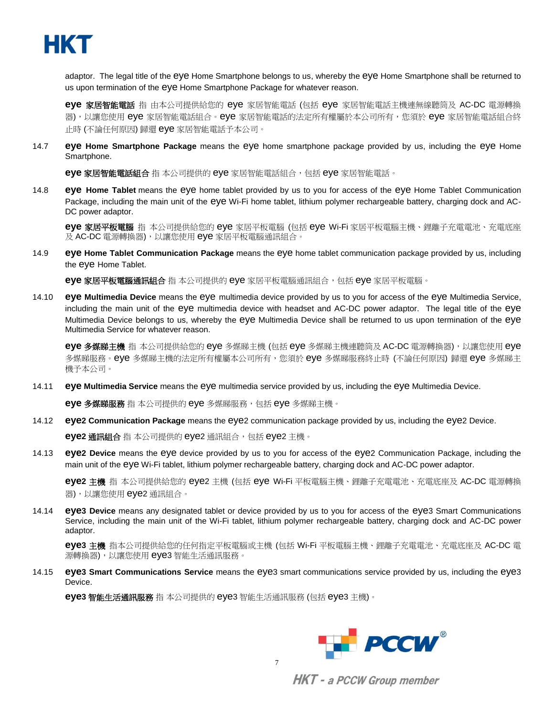

adaptor. The legal title of the eye Home Smartphone belongs to us, whereby the eye Home Smartphone shall be returned to us upon termination of the eye Home Smartphone Package for whatever reason.

**eye** 家居智能電話 指 由本公司提供給您的 eye 家居智能電話 (包括 eye 家居智能電話主機連無線聽筒及 AC-DC 電源轉換 器),以讓您使用 eye 家居智能電話組合。eye 家居智能電話的法定所有權屬於本公司所有,您須於 eye 家居智能電話組合終 止時 (不論任何原因) 歸還 eye 家居智能電話予本公司。

14.7 **eye Home Smartphone Package** means the eye home smartphone package provided by us, including the eye Home Smartphone.

**eye** 家居智能電話組合 指 本公司提供的 eye 家居智能電話組合,包括 eye 家居智能電話。

14.8 **eye Home Tablet** means the eye home tablet provided by us to you for access of the eye Home Tablet Communication Package, including the main unit of the eye Wi-Fi home tablet, lithium polymer rechargeable battery, charging dock and AC-DC power adaptor.

**eye** 家居平板電腦 指 本公司提供給您的 eye 家居平板電腦 (包括 eye Wi-Fi 家居平板電腦主機、鋰離子充電電池、充電底座 及 AC-DC 電源轉換器),以讓您使用 eye 家居平板電腦通訊組合。

14.9 **eye Home Tablet Communication Package** means the eye home tablet communication package provided by us, including the eye Home Tablet.

**eye** 家居平板電腦通訊組合 指 本公司提供的 eye 家居平板電腦通訊組合,包括 eye 家居平板電腦。

14.10 **eye Multimedia Device** means the eye multimedia device provided by us to you for access of the eye Multimedia Service, including the main unit of the eye multimedia device with headset and AC-DC power adaptor. The legal title of the eye Multimedia Device belongs to us, whereby the eye Multimedia Device shall be returned to us upon termination of the eye Multimedia Service for whatever reason.

**eye** 多媒睇主機 指 本公司提供給您的 eye 多媒睇主機 (包括 eye 多媒睇主機連聽筒及 AC-DC 電源轉換器),以讓您使用 eye 多媒睇服務。eye 多媒睇主機的法定所有權屬本公司所有,您須於 eye 多媒睇服務終止時 (不論任何原因) 歸還 eye 多媒睇主 機予本公司。

14.11 **eye Multimedia Service** means the eye multimedia service provided by us, including the eye Multimedia Device.

**eye** 多媒睇服務 指 本公司提供的 eye 多媒睇服務,包括 eye 多媒睇主機。

14.12 **eye2 Communication Package** means the eye2 communication package provided by us, including the eye2 Device.

**eye2** 通訊組合 指 本公司提供的 eye2 通訊組合,包括 eye2 主機。

14.13 **eye2 Device** means the eye device provided by us to you for access of the eye2 Communication Package, including the main unit of the eye Wi-Fi tablet, lithium polymer rechargeable battery, charging dock and AC-DC power adaptor.

**eye2** 主機 指 本公司提供給您的 eye2 主機 (包括 eye Wi-Fi 平板電腦主機、鋰離子充電電池、充電底座及 AC-DC 電源轉換 器),以讓您使用 eye2 通訊組合。

14.14 **eye3 Device** means any designated tablet or device provided by us to you for access of the eye3 Smart Communications Service, including the main unit of the Wi-Fi tablet, lithium polymer rechargeable battery, charging dock and AC-DC power adaptor.

**eye3** 主機 指本公司提供給您的任何指定平板電腦或主機 (包括 Wi-Fi 平板電腦主機、鋰離子充電電池、充電底座及 AC-DC 電 源轉換器),以讓您使用 eye3 智能生活通訊服務。

14.15 **eye3 Smart Communications Service** means the eye3 smart communications service provided by us, including the eye3 Device.

**eye3** 智能生活通訊服務 指 本公司提供的 eye3 智能生活通訊服務 (包括 eye3 主機)。